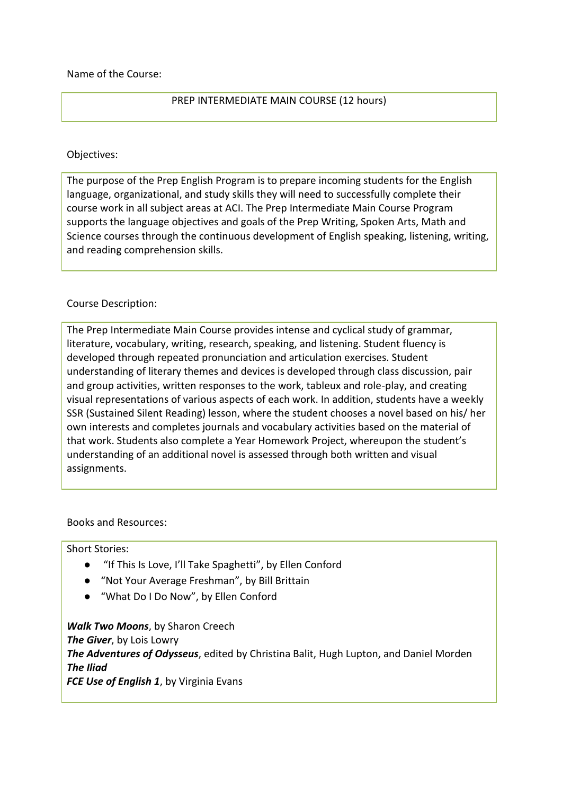Name of the Course:

## PREP INTERMEDIATE MAIN COURSE (12 hours)

### Objectives:

The purpose of the Prep English Program is to prepare incoming students for the English language, organizational, and study skills they will need to successfully complete their course work in all subject areas at ACI. The Prep Intermediate Main Course Program supports the language objectives and goals of the Prep Writing, Spoken Arts, Math and Science courses through the continuous development of English speaking, listening, writing, and reading comprehension skills.

### Course Description:

The Prep Intermediate Main Course provides intense and cyclical study of grammar, literature, vocabulary, writing, research, speaking, and listening. Student fluency is developed through repeated pronunciation and articulation exercises. Student understanding of literary themes and devices is developed through class discussion, pair and group activities, written responses to the work, tableux and role-play, and creating visual representations of various aspects of each work. In addition, students have a weekly SSR (Sustained Silent Reading) lesson, where the student chooses a novel based on his/ her own interests and completes journals and vocabulary activities based on the material of that work. Students also complete a Year Homework Project, whereupon the student's understanding of an additional novel is assessed through both written and visual assignments.

Books and Resources:

#### Short Stories:

- "If This Is Love, I'll Take Spaghetti", by Ellen Conford
- "Not Your Average Freshman", by Bill Brittain
- "What Do I Do Now", by Ellen Conford

*Walk Two Moons*, by Sharon Creech *The Giver*, by Lois Lowry *The Adventures of Odysseus*, edited by Christina Balit, Hugh Lupton, and Daniel Morden *The Iliad FCE Use of English 1*, by Virginia Evans